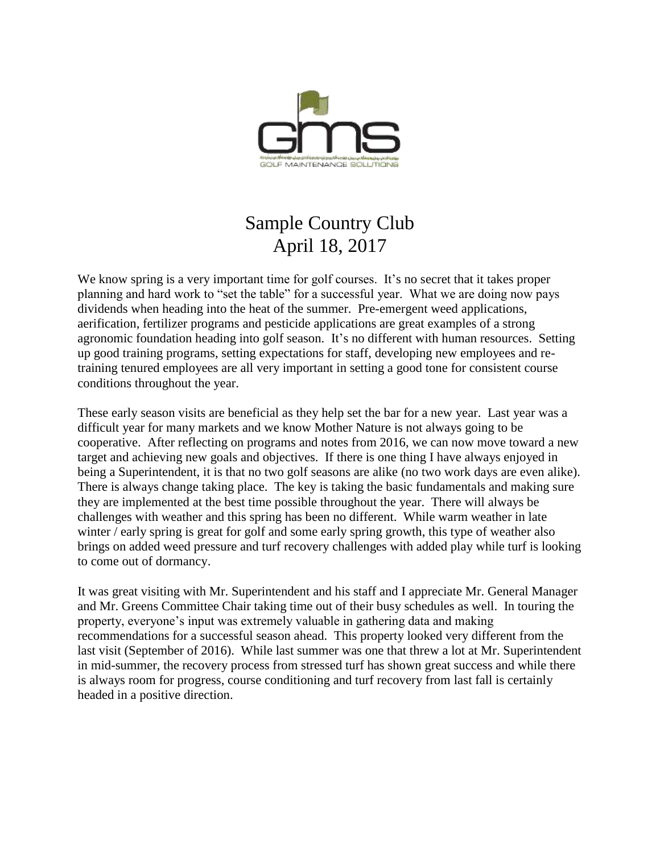

# Sample Country Club April 18, 2017

We know spring is a very important time for golf courses. It's no secret that it takes proper planning and hard work to "set the table" for a successful year. What we are doing now pays dividends when heading into the heat of the summer. Pre-emergent weed applications, aerification, fertilizer programs and pesticide applications are great examples of a strong agronomic foundation heading into golf season. It's no different with human resources. Setting up good training programs, setting expectations for staff, developing new employees and retraining tenured employees are all very important in setting a good tone for consistent course conditions throughout the year.

These early season visits are beneficial as they help set the bar for a new year. Last year was a difficult year for many markets and we know Mother Nature is not always going to be cooperative. After reflecting on programs and notes from 2016, we can now move toward a new target and achieving new goals and objectives. If there is one thing I have always enjoyed in being a Superintendent, it is that no two golf seasons are alike (no two work days are even alike). There is always change taking place. The key is taking the basic fundamentals and making sure they are implemented at the best time possible throughout the year. There will always be challenges with weather and this spring has been no different. While warm weather in late winter / early spring is great for golf and some early spring growth, this type of weather also brings on added weed pressure and turf recovery challenges with added play while turf is looking to come out of dormancy.

It was great visiting with Mr. Superintendent and his staff and I appreciate Mr. General Manager and Mr. Greens Committee Chair taking time out of their busy schedules as well. In touring the property, everyone's input was extremely valuable in gathering data and making recommendations for a successful season ahead. This property looked very different from the last visit (September of 2016). While last summer was one that threw a lot at Mr. Superintendent in mid-summer, the recovery process from stressed turf has shown great success and while there is always room for progress, course conditioning and turf recovery from last fall is certainly headed in a positive direction.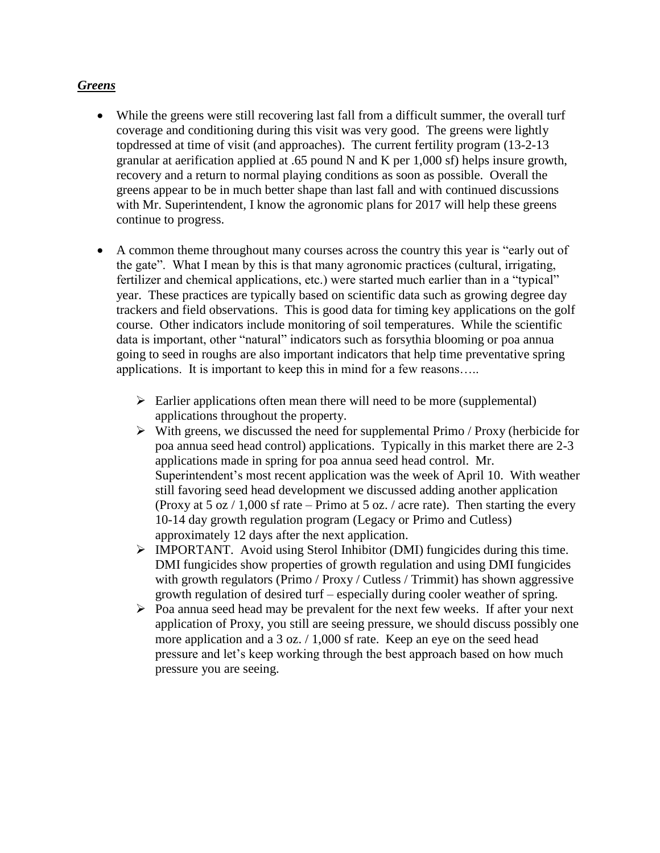#### *Greens*

- While the greens were still recovering last fall from a difficult summer, the overall turf coverage and conditioning during this visit was very good. The greens were lightly topdressed at time of visit (and approaches). The current fertility program (13-2-13 granular at aerification applied at .65 pound N and K per 1,000 sf) helps insure growth, recovery and a return to normal playing conditions as soon as possible. Overall the greens appear to be in much better shape than last fall and with continued discussions with Mr. Superintendent, I know the agronomic plans for 2017 will help these greens continue to progress.
- A common theme throughout many courses across the country this year is "early out of the gate". What I mean by this is that many agronomic practices (cultural, irrigating, fertilizer and chemical applications, etc.) were started much earlier than in a "typical" year. These practices are typically based on scientific data such as growing degree day trackers and field observations. This is good data for timing key applications on the golf course. Other indicators include monitoring of soil temperatures. While the scientific data is important, other "natural" indicators such as forsythia blooming or poa annua going to seed in roughs are also important indicators that help time preventative spring applications. It is important to keep this in mind for a few reasons…..
	- $\triangleright$  Earlier applications often mean there will need to be more (supplemental) applications throughout the property.
	- $\triangleright$  With greens, we discussed the need for supplemental Primo / Proxy (herbicide for poa annua seed head control) applications. Typically in this market there are 2-3 applications made in spring for poa annua seed head control. Mr. Superintendent's most recent application was the week of April 10. With weather still favoring seed head development we discussed adding another application (Proxy at 5 oz / 1,000 sf rate – Primo at 5 oz. / acre rate). Then starting the every 10-14 day growth regulation program (Legacy or Primo and Cutless) approximately 12 days after the next application.
	- $\triangleright$  IMPORTANT. Avoid using Sterol Inhibitor (DMI) fungicides during this time. DMI fungicides show properties of growth regulation and using DMI fungicides with growth regulators (Primo / Proxy / Cutless / Trimmit) has shown aggressive growth regulation of desired turf – especially during cooler weather of spring.
	- $\triangleright$  Poa annua seed head may be prevalent for the next few weeks. If after your next application of Proxy, you still are seeing pressure, we should discuss possibly one more application and a 3 oz. / 1,000 sf rate. Keep an eye on the seed head pressure and let's keep working through the best approach based on how much pressure you are seeing.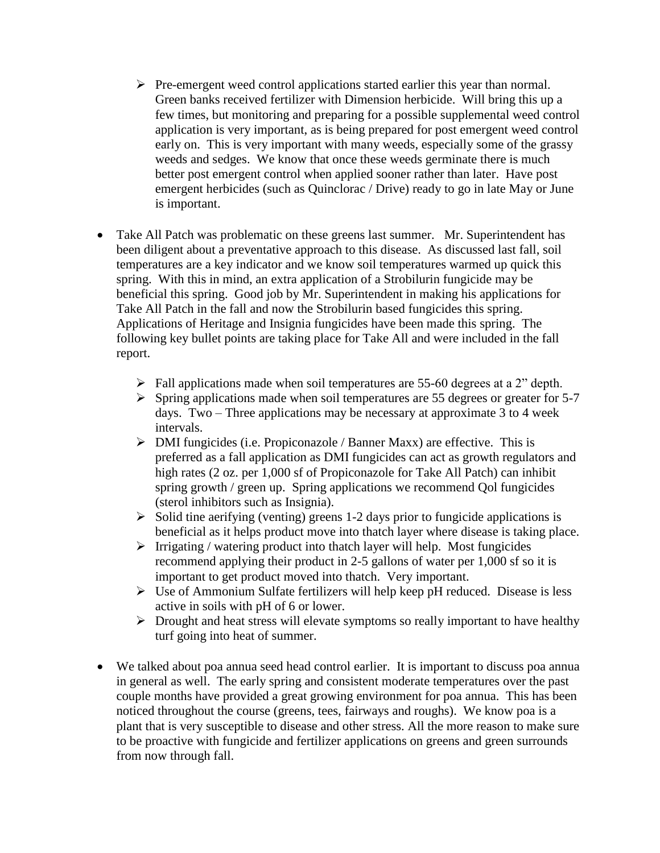- $\triangleright$  Pre-emergent weed control applications started earlier this year than normal. Green banks received fertilizer with Dimension herbicide. Will bring this up a few times, but monitoring and preparing for a possible supplemental weed control application is very important, as is being prepared for post emergent weed control early on. This is very important with many weeds, especially some of the grassy weeds and sedges. We know that once these weeds germinate there is much better post emergent control when applied sooner rather than later. Have post emergent herbicides (such as Quinclorac / Drive) ready to go in late May or June is important.
- Take All Patch was problematic on these greens last summer. Mr. Superintendent has been diligent about a preventative approach to this disease. As discussed last fall, soil temperatures are a key indicator and we know soil temperatures warmed up quick this spring. With this in mind, an extra application of a Strobilurin fungicide may be beneficial this spring. Good job by Mr. Superintendent in making his applications for Take All Patch in the fall and now the Strobilurin based fungicides this spring. Applications of Heritage and Insignia fungicides have been made this spring. The following key bullet points are taking place for Take All and were included in the fall report.
	- $\triangleright$  Fall applications made when soil temperatures are 55-60 degrees at a 2" depth.
	- $\triangleright$  Spring applications made when soil temperatures are 55 degrees or greater for 5-7 days. Two – Three applications may be necessary at approximate 3 to 4 week intervals.
	- $\triangleright$  DMI fungicides (i.e. Propiconazole / Banner Maxx) are effective. This is preferred as a fall application as DMI fungicides can act as growth regulators and high rates (2 oz. per 1,000 sf of Propiconazole for Take All Patch) can inhibit spring growth / green up. Spring applications we recommend Qol fungicides (sterol inhibitors such as Insignia).
	- $\triangleright$  Solid tine aerifying (venting) greens 1-2 days prior to fungicide applications is beneficial as it helps product move into thatch layer where disease is taking place.
	- $\triangleright$  Irrigating / watering product into thatch layer will help. Most fungicides recommend applying their product in 2-5 gallons of water per 1,000 sf so it is important to get product moved into thatch. Very important.
	- $\triangleright$  Use of Ammonium Sulfate fertilizers will help keep pH reduced. Disease is less active in soils with pH of 6 or lower.
	- $\triangleright$  Drought and heat stress will elevate symptoms so really important to have healthy turf going into heat of summer.
- We talked about poa annua seed head control earlier. It is important to discuss poa annua in general as well. The early spring and consistent moderate temperatures over the past couple months have provided a great growing environment for poa annua. This has been noticed throughout the course (greens, tees, fairways and roughs). We know poa is a plant that is very susceptible to disease and other stress. All the more reason to make sure to be proactive with fungicide and fertilizer applications on greens and green surrounds from now through fall.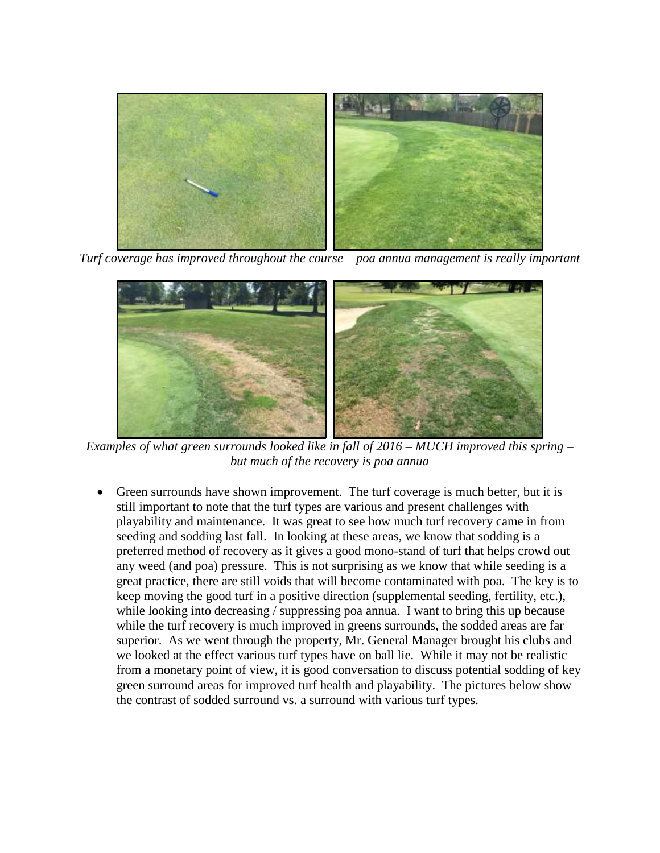

*Turf coverage has improved throughout the course – poa annua management is really important*



*Examples of what green surrounds looked like in fall of 2016 – MUCH improved this spring – but much of the recovery is poa annua*

 Green surrounds have shown improvement. The turf coverage is much better, but it is still important to note that the turf types are various and present challenges with playability and maintenance. It was great to see how much turf recovery came in from seeding and sodding last fall. In looking at these areas, we know that sodding is a preferred method of recovery as it gives a good mono-stand of turf that helps crowd out any weed (and poa) pressure. This is not surprising as we know that while seeding is a great practice, there are still voids that will become contaminated with poa. The key is to keep moving the good turf in a positive direction (supplemental seeding, fertility, etc.), while looking into decreasing / suppressing poa annua. I want to bring this up because while the turf recovery is much improved in greens surrounds, the sodded areas are far superior. As we went through the property, Mr. General Manager brought his clubs and we looked at the effect various turf types have on ball lie. While it may not be realistic from a monetary point of view, it is good conversation to discuss potential sodding of key green surround areas for improved turf health and playability. The pictures below show the contrast of sodded surround vs. a surround with various turf types.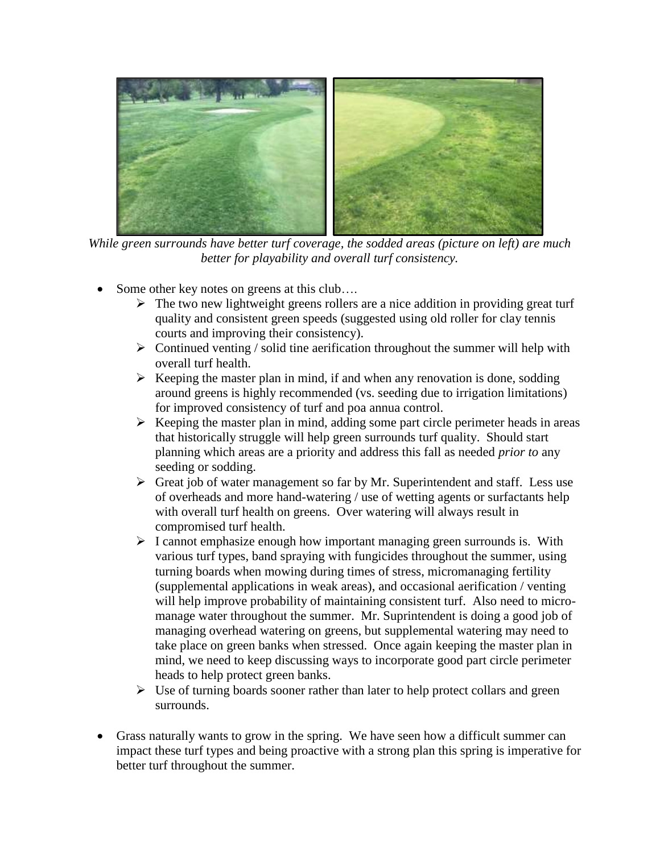

*While green surrounds have better turf coverage, the sodded areas (picture on left) are much better for playability and overall turf consistency.*

- Some other key notes on greens at this club….
	- $\triangleright$  The two new lightweight greens rollers are a nice addition in providing great turf quality and consistent green speeds (suggested using old roller for clay tennis courts and improving their consistency).
	- $\triangleright$  Continued venting / solid tine aerification throughout the summer will help with overall turf health.
	- $\triangleright$  Keeping the master plan in mind, if and when any renovation is done, sodding around greens is highly recommended (vs. seeding due to irrigation limitations) for improved consistency of turf and poa annua control.
	- $\triangleright$  Keeping the master plan in mind, adding some part circle perimeter heads in areas that historically struggle will help green surrounds turf quality. Should start planning which areas are a priority and address this fall as needed *prior to* any seeding or sodding.
	- $\triangleright$  Great job of water management so far by Mr. Superintendent and staff. Less use of overheads and more hand-watering / use of wetting agents or surfactants help with overall turf health on greens. Over watering will always result in compromised turf health.
	- $\triangleright$  I cannot emphasize enough how important managing green surrounds is. With various turf types, band spraying with fungicides throughout the summer, using turning boards when mowing during times of stress, micromanaging fertility (supplemental applications in weak areas), and occasional aerification / venting will help improve probability of maintaining consistent turf. Also need to micromanage water throughout the summer. Mr. Suprintendent is doing a good job of managing overhead watering on greens, but supplemental watering may need to take place on green banks when stressed. Once again keeping the master plan in mind, we need to keep discussing ways to incorporate good part circle perimeter heads to help protect green banks.
	- $\triangleright$  Use of turning boards sooner rather than later to help protect collars and green surrounds.
- Grass naturally wants to grow in the spring. We have seen how a difficult summer can impact these turf types and being proactive with a strong plan this spring is imperative for better turf throughout the summer.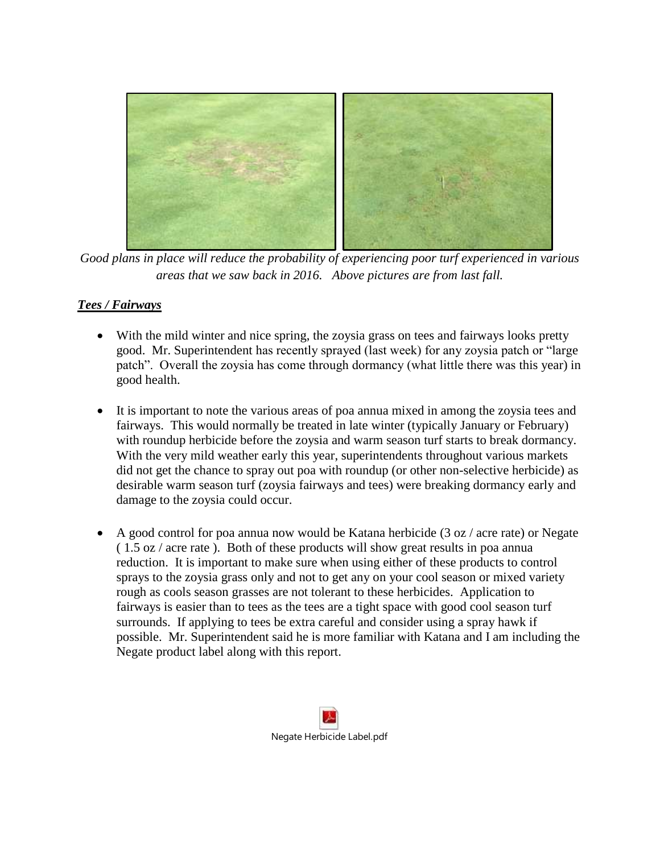

*Good plans in place will reduce the probability of experiencing poor turf experienced in various areas that we saw back in 2016. Above pictures are from last fall.*

#### *Tees / Fairways*

- With the mild winter and nice spring, the zoysia grass on tees and fairways looks pretty good. Mr. Superintendent has recently sprayed (last week) for any zoysia patch or "large patch". Overall the zoysia has come through dormancy (what little there was this year) in good health.
- It is important to note the various areas of poa annua mixed in among the zoysia tees and fairways. This would normally be treated in late winter (typically January or February) with roundup herbicide before the zoysia and warm season turf starts to break dormancy. With the very mild weather early this year, superintendents throughout various markets did not get the chance to spray out poa with roundup (or other non-selective herbicide) as desirable warm season turf (zoysia fairways and tees) were breaking dormancy early and damage to the zoysia could occur.
- A good control for poa annua now would be Katana herbicide (3 oz / acre rate) or Negate ( 1.5 oz / acre rate ). Both of these products will show great results in poa annua reduction. It is important to make sure when using either of these products to control sprays to the zoysia grass only and not to get any on your cool season or mixed variety rough as cools season grasses are not tolerant to these herbicides. Application to fairways is easier than to tees as the tees are a tight space with good cool season turf surrounds. If applying to tees be extra careful and consider using a spray hawk if possible. Mr. Superintendent said he is more familiar with Katana and I am including the Negate product label along with this report.

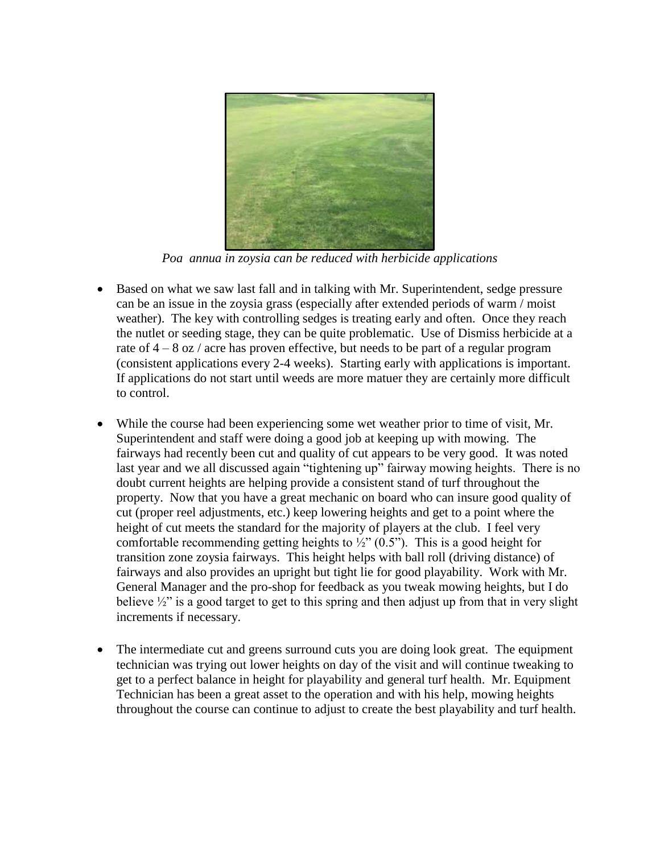

*Poa annua in zoysia can be reduced with herbicide applications*

- Based on what we saw last fall and in talking with Mr. Superintendent, sedge pressure can be an issue in the zoysia grass (especially after extended periods of warm / moist weather). The key with controlling sedges is treating early and often. Once they reach the nutlet or seeding stage, they can be quite problematic. Use of Dismiss herbicide at a rate of  $4 - 8$  oz / acre has proven effective, but needs to be part of a regular program (consistent applications every 2-4 weeks). Starting early with applications is important. If applications do not start until weeds are more matuer they are certainly more difficult to control.
- While the course had been experiencing some wet weather prior to time of visit, Mr. Superintendent and staff were doing a good job at keeping up with mowing. The fairways had recently been cut and quality of cut appears to be very good. It was noted last year and we all discussed again "tightening up" fairway mowing heights. There is no doubt current heights are helping provide a consistent stand of turf throughout the property. Now that you have a great mechanic on board who can insure good quality of cut (proper reel adjustments, etc.) keep lowering heights and get to a point where the height of cut meets the standard for the majority of players at the club. I feel very comfortable recommending getting heights to  $\frac{1}{2}$  (0.5"). This is a good height for transition zone zoysia fairways. This height helps with ball roll (driving distance) of fairways and also provides an upright but tight lie for good playability. Work with Mr. General Manager and the pro-shop for feedback as you tweak mowing heights, but I do believe  $\frac{1}{2}$ " is a good target to get to this spring and then adjust up from that in very slight increments if necessary.
- The intermediate cut and greens surround cuts you are doing look great. The equipment technician was trying out lower heights on day of the visit and will continue tweaking to get to a perfect balance in height for playability and general turf health. Mr. Equipment Technician has been a great asset to the operation and with his help, mowing heights throughout the course can continue to adjust to create the best playability and turf health.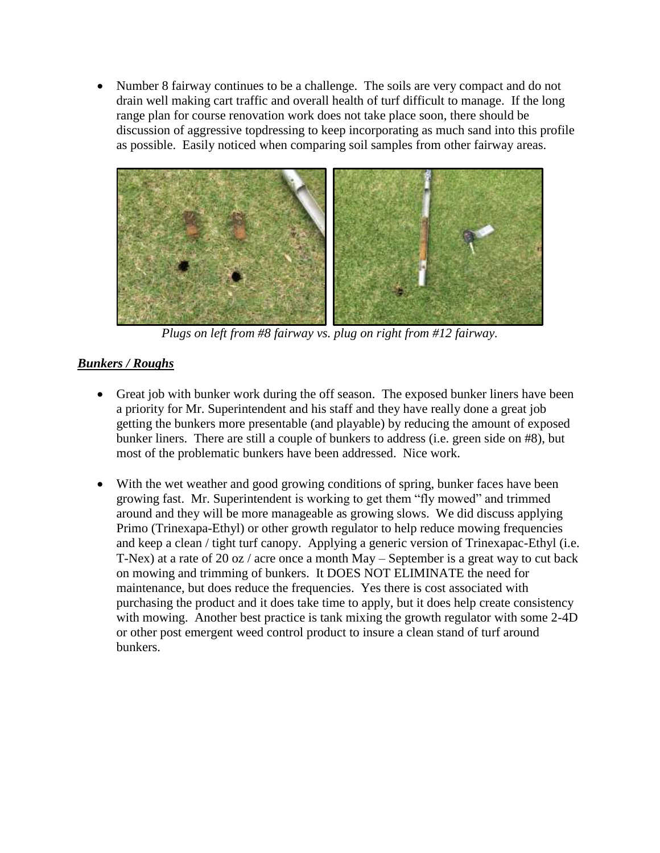Number 8 fairway continues to be a challenge. The soils are very compact and do not drain well making cart traffic and overall health of turf difficult to manage. If the long range plan for course renovation work does not take place soon, there should be discussion of aggressive topdressing to keep incorporating as much sand into this profile as possible. Easily noticed when comparing soil samples from other fairway areas.



*Plugs on left from #8 fairway vs. plug on right from #12 fairway.*

## *Bunkers / Roughs*

- Great job with bunker work during the off season. The exposed bunker liners have been a priority for Mr. Superintendent and his staff and they have really done a great job getting the bunkers more presentable (and playable) by reducing the amount of exposed bunker liners. There are still a couple of bunkers to address (i.e. green side on #8), but most of the problematic bunkers have been addressed. Nice work.
- With the wet weather and good growing conditions of spring, bunker faces have been growing fast. Mr. Superintendent is working to get them "fly mowed" and trimmed around and they will be more manageable as growing slows. We did discuss applying Primo (Trinexapa-Ethyl) or other growth regulator to help reduce mowing frequencies and keep a clean / tight turf canopy. Applying a generic version of Trinexapac-Ethyl (i.e. T-Nex) at a rate of 20 oz / acre once a month May – September is a great way to cut back on mowing and trimming of bunkers. It DOES NOT ELIMINATE the need for maintenance, but does reduce the frequencies. Yes there is cost associated with purchasing the product and it does take time to apply, but it does help create consistency with mowing. Another best practice is tank mixing the growth regulator with some 2-4D or other post emergent weed control product to insure a clean stand of turf around bunkers.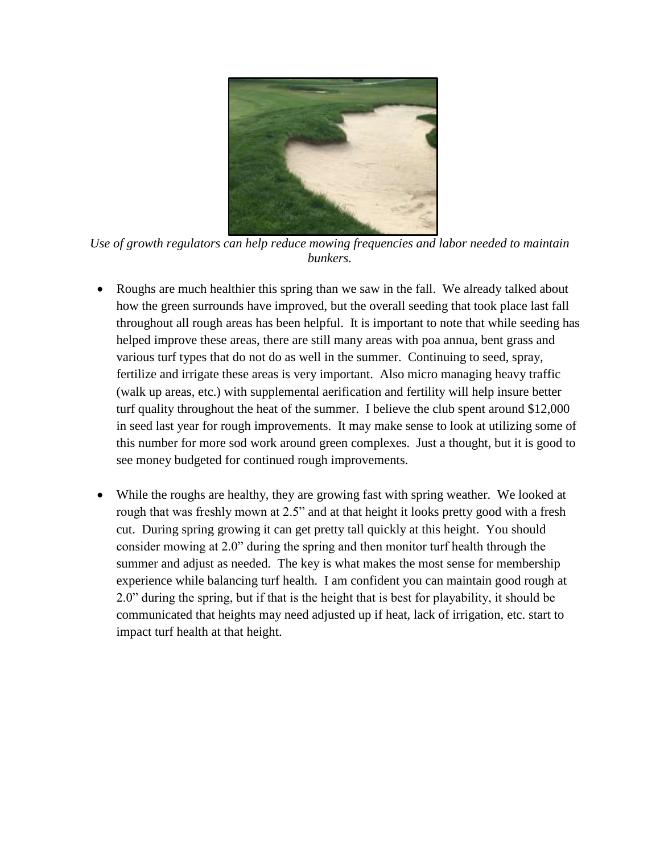

*Use of growth regulators can help reduce mowing frequencies and labor needed to maintain bunkers.*

- Roughs are much healthier this spring than we saw in the fall. We already talked about how the green surrounds have improved, but the overall seeding that took place last fall throughout all rough areas has been helpful. It is important to note that while seeding has helped improve these areas, there are still many areas with poa annua, bent grass and various turf types that do not do as well in the summer. Continuing to seed, spray, fertilize and irrigate these areas is very important. Also micro managing heavy traffic (walk up areas, etc.) with supplemental aerification and fertility will help insure better turf quality throughout the heat of the summer. I believe the club spent around \$12,000 in seed last year for rough improvements. It may make sense to look at utilizing some of this number for more sod work around green complexes. Just a thought, but it is good to see money budgeted for continued rough improvements.
- While the roughs are healthy, they are growing fast with spring weather. We looked at rough that was freshly mown at 2.5" and at that height it looks pretty good with a fresh cut. During spring growing it can get pretty tall quickly at this height. You should consider mowing at 2.0" during the spring and then monitor turf health through the summer and adjust as needed. The key is what makes the most sense for membership experience while balancing turf health. I am confident you can maintain good rough at 2.0" during the spring, but if that is the height that is best for playability, it should be communicated that heights may need adjusted up if heat, lack of irrigation, etc. start to impact turf health at that height.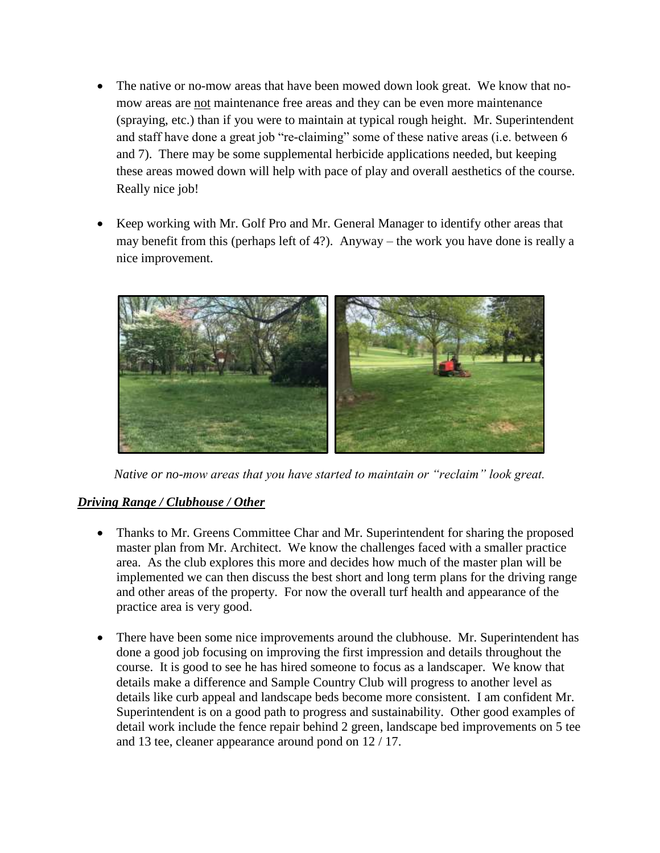- The native or no-mow areas that have been mowed down look great. We know that nomow areas are not maintenance free areas and they can be even more maintenance (spraying, etc.) than if you were to maintain at typical rough height. Mr. Superintendent and staff have done a great job "re-claiming" some of these native areas (i.e. between 6 and 7). There may be some supplemental herbicide applications needed, but keeping these areas mowed down will help with pace of play and overall aesthetics of the course. Really nice job!
- Keep working with Mr. Golf Pro and Mr. General Manager to identify other areas that may benefit from this (perhaps left of 4?). Anyway – the work you have done is really a nice improvement.



*Native or no-mow areas that you have started to maintain or "reclaim" look great.*

### *Driving Range / Clubhouse / Other*

- Thanks to Mr. Greens Committee Char and Mr. Superintendent for sharing the proposed master plan from Mr. Architect. We know the challenges faced with a smaller practice area. As the club explores this more and decides how much of the master plan will be implemented we can then discuss the best short and long term plans for the driving range and other areas of the property. For now the overall turf health and appearance of the practice area is very good.
- There have been some nice improvements around the clubhouse. Mr. Superintendent has done a good job focusing on improving the first impression and details throughout the course. It is good to see he has hired someone to focus as a landscaper. We know that details make a difference and Sample Country Club will progress to another level as details like curb appeal and landscape beds become more consistent. I am confident Mr. Superintendent is on a good path to progress and sustainability. Other good examples of detail work include the fence repair behind 2 green, landscape bed improvements on 5 tee and 13 tee, cleaner appearance around pond on 12 / 17.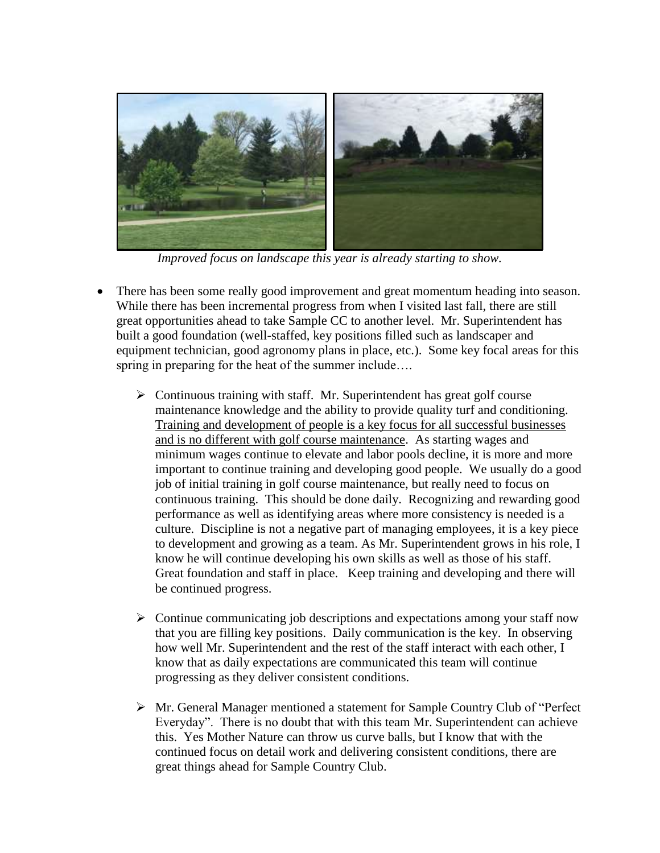

*Improved focus on landscape this year is already starting to show.* 

- There has been some really good improvement and great momentum heading into season. While there has been incremental progress from when I visited last fall, there are still great opportunities ahead to take Sample CC to another level. Mr. Superintendent has built a good foundation (well-staffed, key positions filled such as landscaper and equipment technician, good agronomy plans in place, etc.). Some key focal areas for this spring in preparing for the heat of the summer include….
	- $\triangleright$  Continuous training with staff. Mr. Superintendent has great golf course maintenance knowledge and the ability to provide quality turf and conditioning. Training and development of people is a key focus for all successful businesses and is no different with golf course maintenance. As starting wages and minimum wages continue to elevate and labor pools decline, it is more and more important to continue training and developing good people. We usually do a good job of initial training in golf course maintenance, but really need to focus on continuous training. This should be done daily. Recognizing and rewarding good performance as well as identifying areas where more consistency is needed is a culture. Discipline is not a negative part of managing employees, it is a key piece to development and growing as a team. As Mr. Superintendent grows in his role, I know he will continue developing his own skills as well as those of his staff. Great foundation and staff in place. Keep training and developing and there will be continued progress.
	- $\triangleright$  Continue communicating job descriptions and expectations among your staff now that you are filling key positions. Daily communication is the key. In observing how well Mr. Superintendent and the rest of the staff interact with each other, I know that as daily expectations are communicated this team will continue progressing as they deliver consistent conditions.
	- $\triangleright$  Mr. General Manager mentioned a statement for Sample Country Club of "Perfect" Everyday". There is no doubt that with this team Mr. Superintendent can achieve this. Yes Mother Nature can throw us curve balls, but I know that with the continued focus on detail work and delivering consistent conditions, there are great things ahead for Sample Country Club.